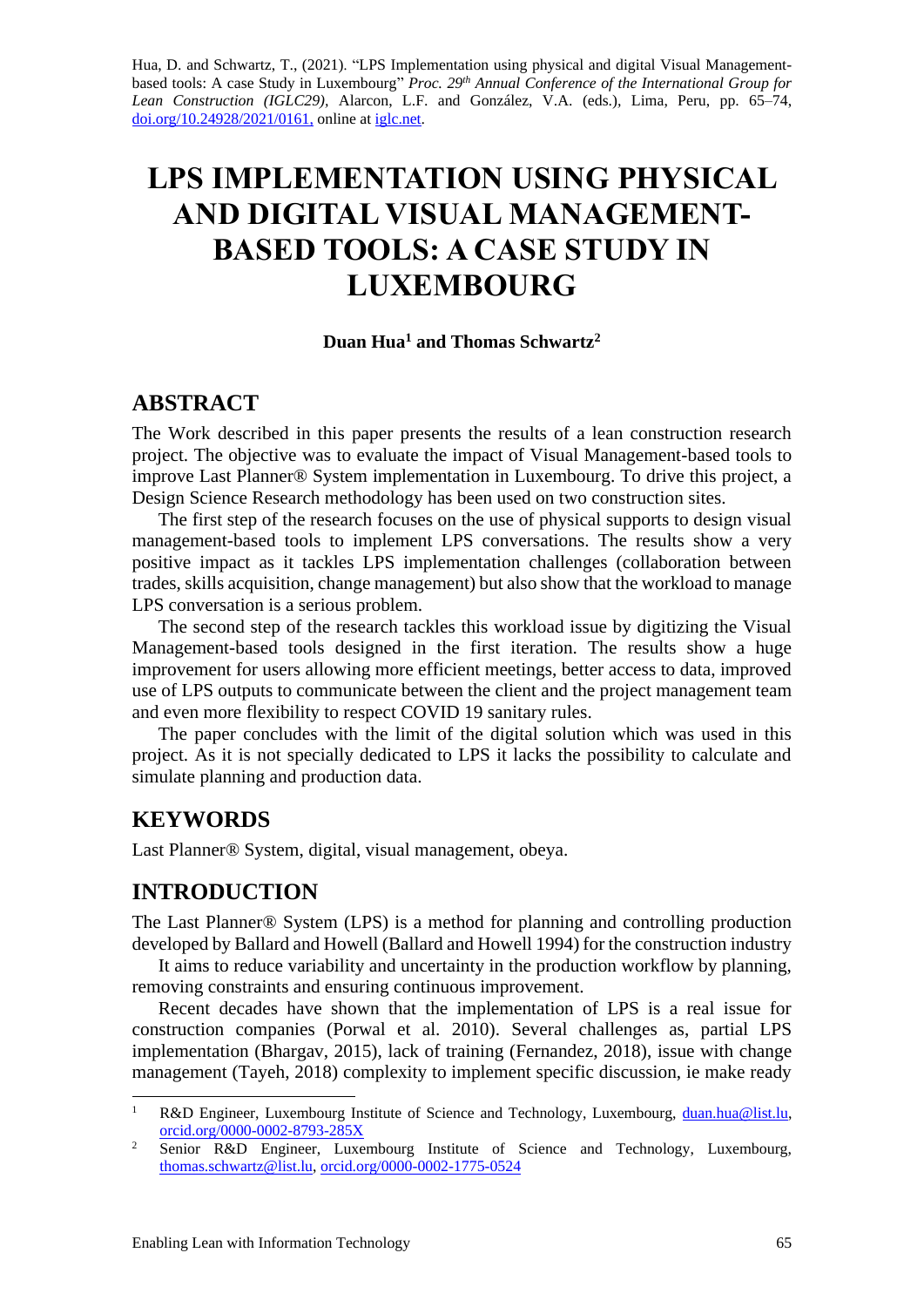Hua, D. and Schwartz, T., (2021). "LPS Implementation using physical and digital Visual Managementbased tools: A case Study in Luxembourg" *Proc. 29 th Annual Conference of the International Group for Lean Construction (IGLC29),* Alarcon, L.F. and González, V.A. (eds.)*,* Lima, Peru, pp. 65–74, [doi.org/10.24928/2021/0161,](https://doi.org/10.24928/2021/0161) online a[t iglc.net.](http://iglc.net/)

# **LPS IMPLEMENTATION USING PHYSICAL AND DIGITAL VISUAL MANAGEMENT-BASED TOOLS: A CASE STUDY IN LUXEMBOURG**

#### **Duan Hua<sup>1</sup> and Thomas Schwartz<sup>2</sup>**

## **ABSTRACT**

The Work described in this paper presents the results of a lean construction research project. The objective was to evaluate the impact of Visual Management-based tools to improve Last Planner® System implementation in Luxembourg. To drive this project, a Design Science Research methodology has been used on two construction sites.

The first step of the research focuses on the use of physical supports to design visual management-based tools to implement LPS conversations. The results show a very positive impact as it tackles LPS implementation challenges (collaboration between trades, skills acquisition, change management) but also show that the workload to manage LPS conversation is a serious problem.

The second step of the research tackles this workload issue by digitizing the Visual Management-based tools designed in the first iteration. The results show a huge improvement for users allowing more efficient meetings, better access to data, improved use of LPS outputs to communicate between the client and the project management team and even more flexibility to respect COVID 19 sanitary rules.

The paper concludes with the limit of the digital solution which was used in this project. As it is not specially dedicated to LPS it lacks the possibility to calculate and simulate planning and production data.

## **KEYWORDS**

Last Planner® System, digital, visual management, obeya.

## **INTRODUCTION**

The Last Planner® System (LPS) is a method for planning and controlling production developed by Ballard and Howell (Ballard and Howell 1994) for the construction industry

It aims to reduce variability and uncertainty in the production workflow by planning, removing constraints and ensuring continuous improvement.

Recent decades have shown that the implementation of LPS is a real issue for construction companies (Porwal et al. 2010). Several challenges as, partial LPS implementation (Bhargav, 2015), lack of training (Fernandez, 2018), issue with change management (Tayeh, 2018) complexity to implement specific discussion, ie make ready

R&D Engineer, Luxembourg Institute of Science and Technology, Luxembourg, [duan.hua@list.lu,](mailto:duan.hua@list.lu) [orcid.org/0000-0002-8793-285X](https://orcid.org/0000-0002-8793-285X) 

<sup>&</sup>lt;sup>2</sup> Senior R&D Engineer, Luxembourg Institute of Science and Technology, Luxembourg, [thomas.schwartz@list.lu,](mailto:thomas.schwartz@list.lu) [orcid.org/0000-0002-1775-0524](https://orcid.org/0000-0002-1775-0524)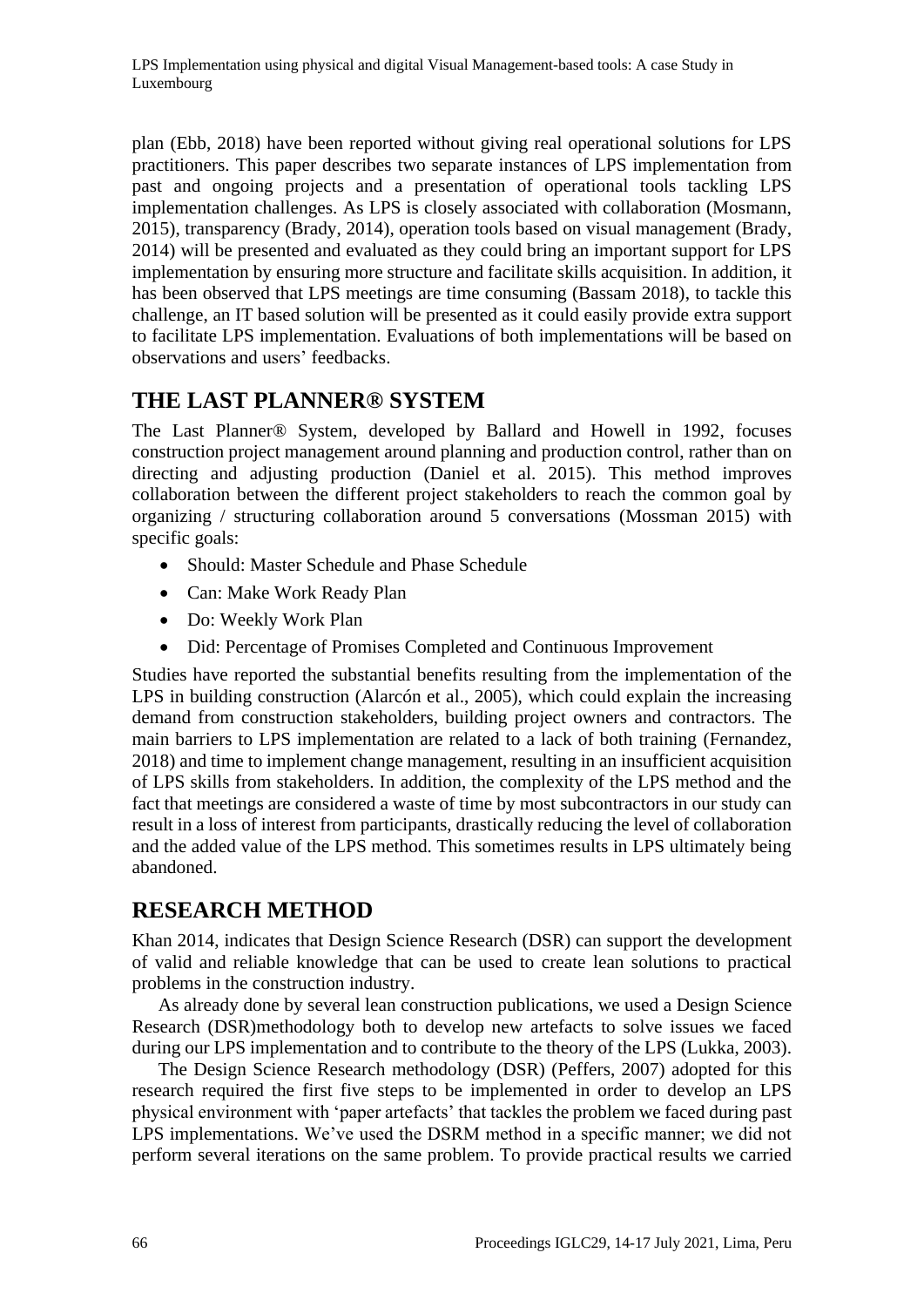plan (Ebb, 2018) have been reported without giving real operational solutions for LPS practitioners. This paper describes two separate instances of LPS implementation from past and ongoing projects and a presentation of operational tools tackling LPS implementation challenges. As LPS is closely associated with collaboration (Mosmann, 2015), transparency (Brady, 2014), operation tools based on visual management (Brady, 2014) will be presented and evaluated as they could bring an important support for LPS implementation by ensuring more structure and facilitate skills acquisition. In addition, it has been observed that LPS meetings are time consuming (Bassam 2018), to tackle this challenge, an IT based solution will be presented as it could easily provide extra support to facilitate LPS implementation. Evaluations of both implementations will be based on observations and users' feedbacks.

# **THE LAST PLANNER® SYSTEM**

The Last Planner® System, developed by Ballard and Howell in 1992, focuses construction project management around planning and production control, rather than on directing and adjusting production (Daniel et al. 2015). This method improves collaboration between the different project stakeholders to reach the common goal by organizing / structuring collaboration around 5 conversations (Mossman 2015) with specific goals:

- Should: Master Schedule and Phase Schedule
- Can: Make Work Ready Plan
- Do: Weekly Work Plan
- Did: Percentage of Promises Completed and Continuous Improvement

Studies have reported the substantial benefits resulting from the implementation of the LPS in building construction (Alarcón et al., 2005), which could explain the increasing demand from construction stakeholders, building project owners and contractors. The main barriers to LPS implementation are related to a lack of both training (Fernandez, 2018) and time to implement change management, resulting in an insufficient acquisition of LPS skills from stakeholders. In addition, the complexity of the LPS method and the fact that meetings are considered a waste of time by most subcontractors in our study can result in a loss of interest from participants, drastically reducing the level of collaboration and the added value of the LPS method. This sometimes results in LPS ultimately being abandoned.

# **RESEARCH METHOD**

Khan 2014, indicates that Design Science Research (DSR) can support the development of valid and reliable knowledge that can be used to create lean solutions to practical problems in the construction industry.

As already done by several lean construction publications, we used a Design Science Research (DSR)methodology both to develop new artefacts to solve issues we faced during our LPS implementation and to contribute to the theory of the LPS (Lukka, 2003).

The Design Science Research methodology (DSR) (Peffers, 2007) adopted for this research required the first five steps to be implemented in order to develop an LPS physical environment with 'paper artefacts' that tackles the problem we faced during past LPS implementations. We've used the DSRM method in a specific manner; we did not perform several iterations on the same problem. To provide practical results we carried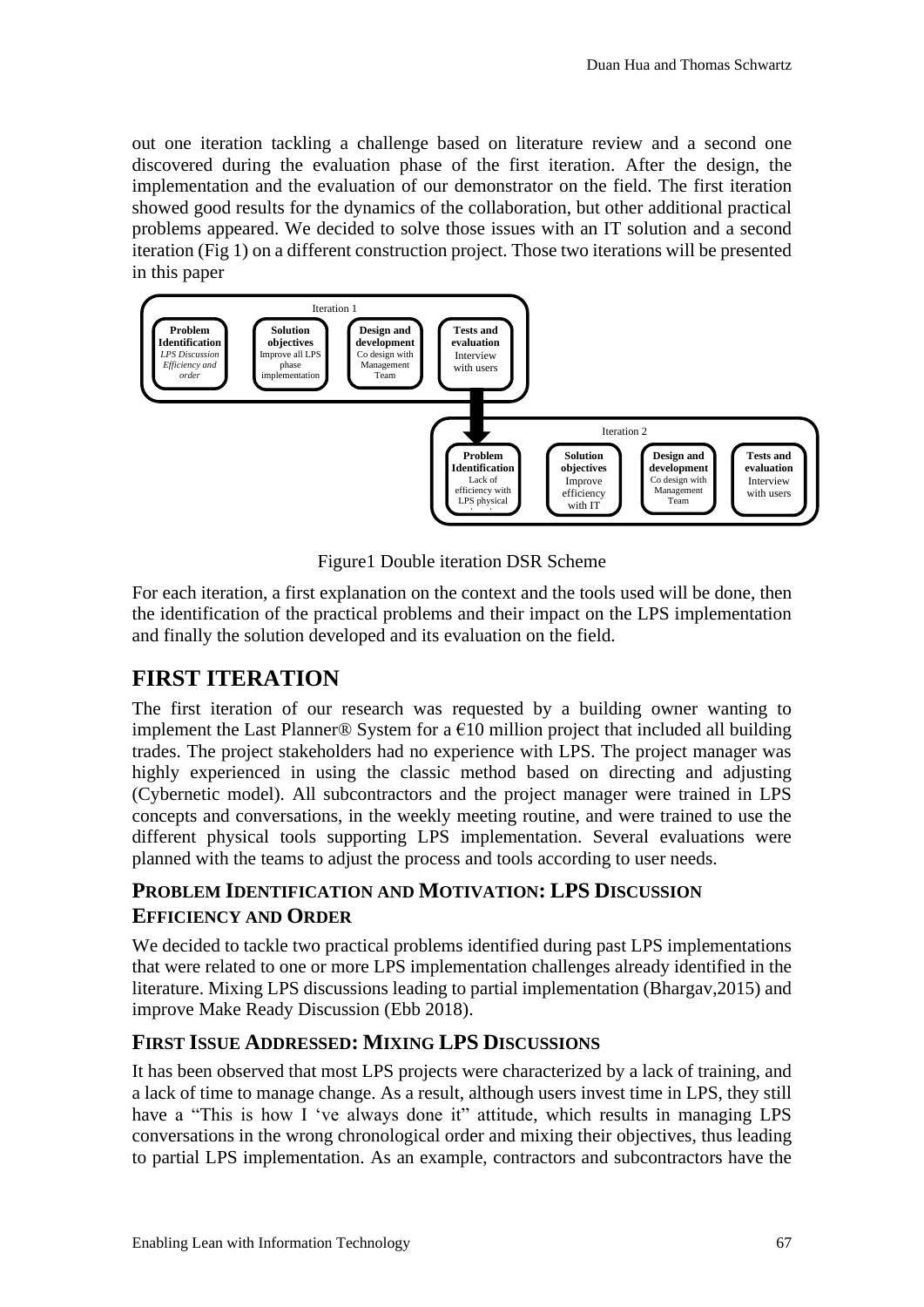out one iteration tackling a challenge based on literature review and a second one discovered during the evaluation phase of the first iteration. After the design, the implementation and the evaluation of our demonstrator on the field. The first iteration showed good results for the dynamics of the collaboration, but other additional practical problems appeared. We decided to solve those issues with an IT solution and a second iteration (Fig 1) on a different construction project. Those two iterations will be presented in this paper



Figure1 Double iteration DSR Scheme

For each iteration, a first explanation on the context and the tools used will be done, then the identification of the practical problems and their impact on the LPS implementation and finally the solution developed and its evaluation on the field.

# **FIRST ITERATION**

The first iteration of our research was requested by a building owner wanting to implement the Last Planner<sup>®</sup> System for a  $\epsilon$ 10 million project that included all building trades. The project stakeholders had no experience with LPS. The project manager was highly experienced in using the classic method based on directing and adjusting (Cybernetic model). All subcontractors and the project manager were trained in LPS concepts and conversations, in the weekly meeting routine, and were trained to use the different physical tools supporting LPS implementation. Several evaluations were planned with the teams to adjust the process and tools according to user needs.

# **PROBLEM IDENTIFICATION AND MOTIVATION: LPS DISCUSSION EFFICIENCY AND ORDER**

We decided to tackle two practical problems identified during past LPS implementations that were related to one or more LPS implementation challenges already identified in the literature. Mixing LPS discussions leading to partial implementation (Bhargav,2015) and improve Make Ready Discussion (Ebb 2018).

# **FIRST ISSUE ADDRESSED: MIXING LPS DISCUSSIONS**

It has been observed that most LPS projects were characterized by a lack of training, and a lack of time to manage change. As a result, although users invest time in LPS, they still have a "This is how I 've always done it" attitude, which results in managing LPS conversations in the wrong chronological order and mixing their objectives, thus leading to partial LPS implementation. As an example, contractors and subcontractors have the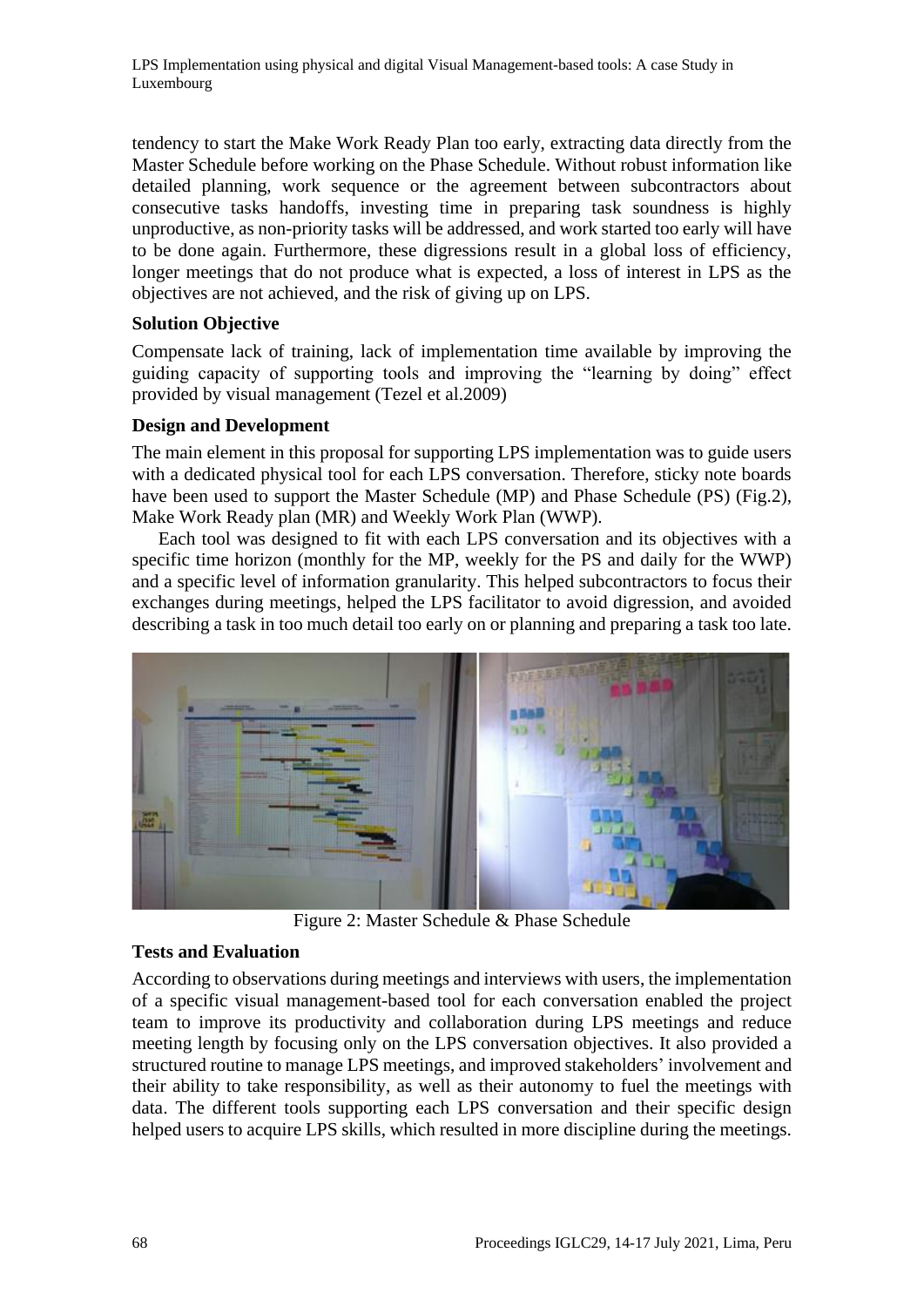tendency to start the Make Work Ready Plan too early, extracting data directly from the Master Schedule before working on the Phase Schedule. Without robust information like detailed planning, work sequence or the agreement between subcontractors about consecutive tasks handoffs, investing time in preparing task soundness is highly unproductive, as non-priority tasks will be addressed, and work started too early will have to be done again. Furthermore, these digressions result in a global loss of efficiency, longer meetings that do not produce what is expected, a loss of interest in LPS as the objectives are not achieved, and the risk of giving up on LPS.

#### **Solution Objective**

Compensate lack of training, lack of implementation time available by improving the guiding capacity of supporting tools and improving the "learning by doing" effect provided by visual management (Tezel et al.2009)

#### **Design and Development**

The main element in this proposal for supporting LPS implementation was to guide users with a dedicated physical tool for each LPS conversation. Therefore, sticky note boards have been used to support the Master Schedule (MP) and Phase Schedule (PS) (Fig.2), Make Work Ready plan (MR) and Weekly Work Plan (WWP).

Each tool was designed to fit with each LPS conversation and its objectives with a specific time horizon (monthly for the MP, weekly for the PS and daily for the WWP) and a specific level of information granularity. This helped subcontractors to focus their exchanges during meetings, helped the LPS facilitator to avoid digression, and avoided describing a task in too much detail too early on or planning and preparing a task too late.



Figure 2: Master Schedule & Phase Schedule

#### **Tests and Evaluation**

According to observations during meetings and interviews with users, the implementation of a specific visual management-based tool for each conversation enabled the project team to improve its productivity and collaboration during LPS meetings and reduce meeting length by focusing only on the LPS conversation objectives. It also provided a structured routine to manage LPS meetings, and improved stakeholders' involvement and their ability to take responsibility, as well as their autonomy to fuel the meetings with data. The different tools supporting each LPS conversation and their specific design helped users to acquire LPS skills, which resulted in more discipline during the meetings.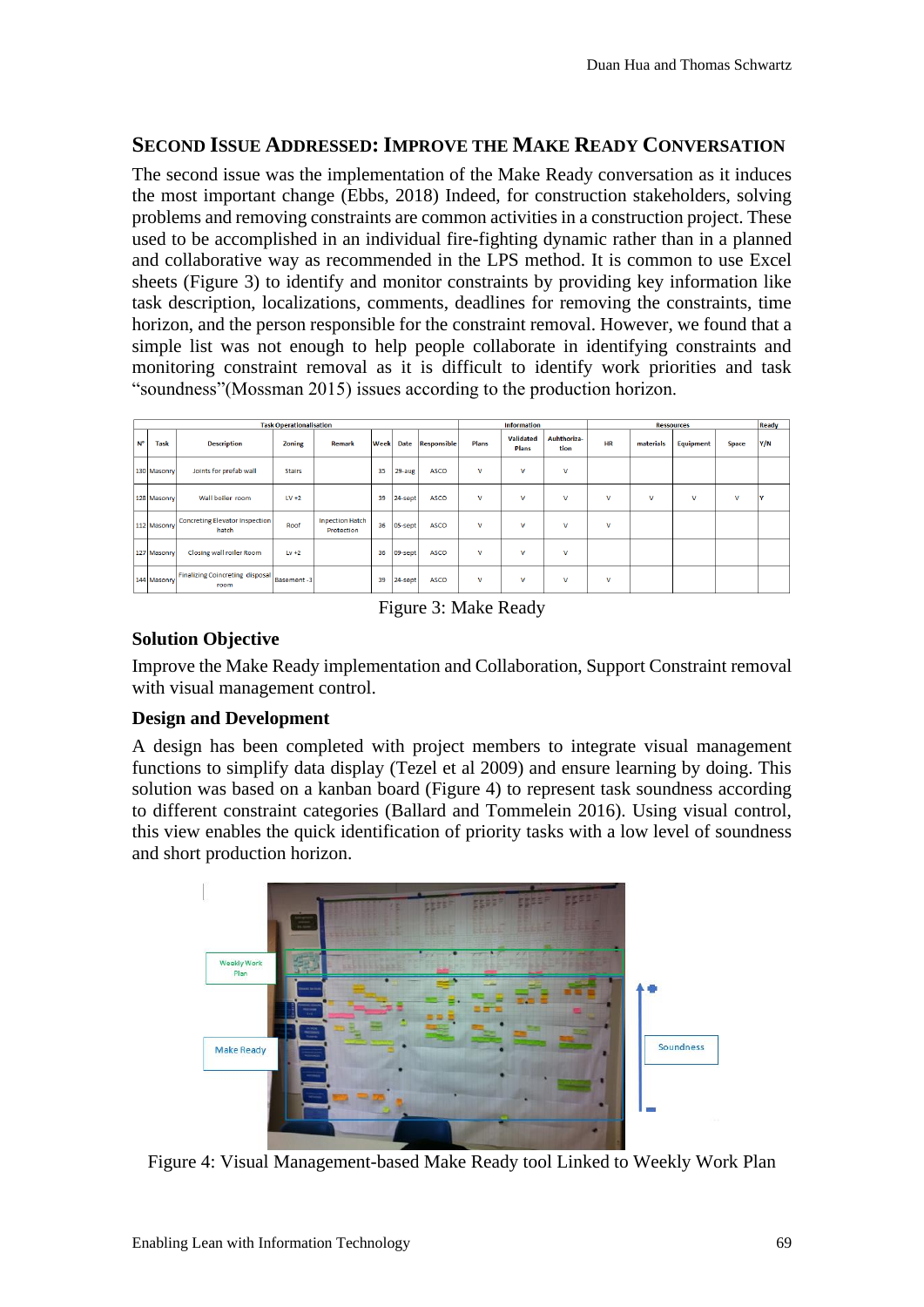### **SECOND ISSUE ADDRESSED: IMPROVE THE MAKE READY CONVERSATION**

The second issue was the implementation of the Make Ready conversation as it induces the most important change (Ebbs, 2018) Indeed, for construction stakeholders, solving problems and removing constraints are common activities in a construction project. These used to be accomplished in an individual fire-fighting dynamic rather than in a planned and collaborative way as recommended in the LPS method. It is common to use Excel sheets (Figure 3) to identify and monitor constraints by providing key information like task description, localizations, comments, deadlines for removing the constraints, time horizon, and the person responsible for the constraint removal. However, we found that a simple list was not enough to help people collaborate in identifying constraints and monitoring constraint removal as it is difficult to identify work priorities and task "soundness"(Mossman 2015) issues according to the production horizon.

| <b>Task Operationalisation</b> |             |                                                |               |                                      |             |             |                    | <b>Information</b> |                           |                     | <b>Ressources</b> |           |           |              | Ready |
|--------------------------------|-------------|------------------------------------------------|---------------|--------------------------------------|-------------|-------------|--------------------|--------------------|---------------------------|---------------------|-------------------|-----------|-----------|--------------|-------|
| $N^{\circ}$                    | <b>Task</b> | <b>Description</b>                             | Zoning        | Remark                               | <b>Week</b> | <b>Date</b> | <b>Responsible</b> | <b>Plans</b>       | <b>Validated</b><br>Plans | Auhthoriza-<br>tion | <b>HR</b>         | materials | Equipment | <b>Space</b> | Y/N   |
|                                | 130 Masonry | Joints for prefab wall                         | <b>Stairs</b> |                                      | 35          | 29-aug      | <b>ASCO</b>        | $\mathsf{v}$       | $\mathbf{v}$              | v                   |                   |           |           |              |       |
|                                | 128 Masonry | Wall boiler room                               | $LV + 2$      |                                      | 39          | 24-sept     | <b>ASCO</b>        | v                  | $\mathbf v$               | v                   | v                 | v         | v         | v            |       |
|                                | 112 Masonry | <b>Concreting Elevator Inspection</b><br>hatch | Roof          | <b>Inpection Hatch</b><br>Protection | 36          | 05-sept     | <b>ASCO</b>        | $\mathbf v$        | v                         | v                   | v                 |           |           |              |       |
|                                | 127 Masonry | Closing wall roiler Room                       | $Lv + 2$      |                                      | 36          | 09-sept     | <b>ASCO</b>        | v                  | v                         | v                   |                   |           |           |              |       |
|                                | 144 Masonry | <b>Finalizing Coincreting disposal</b><br>room | Basement-3    |                                      | 39          | $ 24$ -sept | <b>ASCO</b>        | v                  | v                         | v                   | v                 |           |           |              |       |

Figure 3: Make Ready

# **Solution Objective**

Improve the Make Ready implementation and Collaboration, Support Constraint removal with visual management control.

## **Design and Development**

A design has been completed with project members to integrate visual management functions to simplify data display (Tezel et al 2009) and ensure learning by doing. This solution was based on a kanban board (Figure 4) to represent task soundness according to different constraint categories (Ballard and Tommelein 2016). Using visual control, this view enables the quick identification of priority tasks with a low level of soundness and short production horizon.



Figure 4: Visual Management-based Make Ready tool Linked to Weekly Work Plan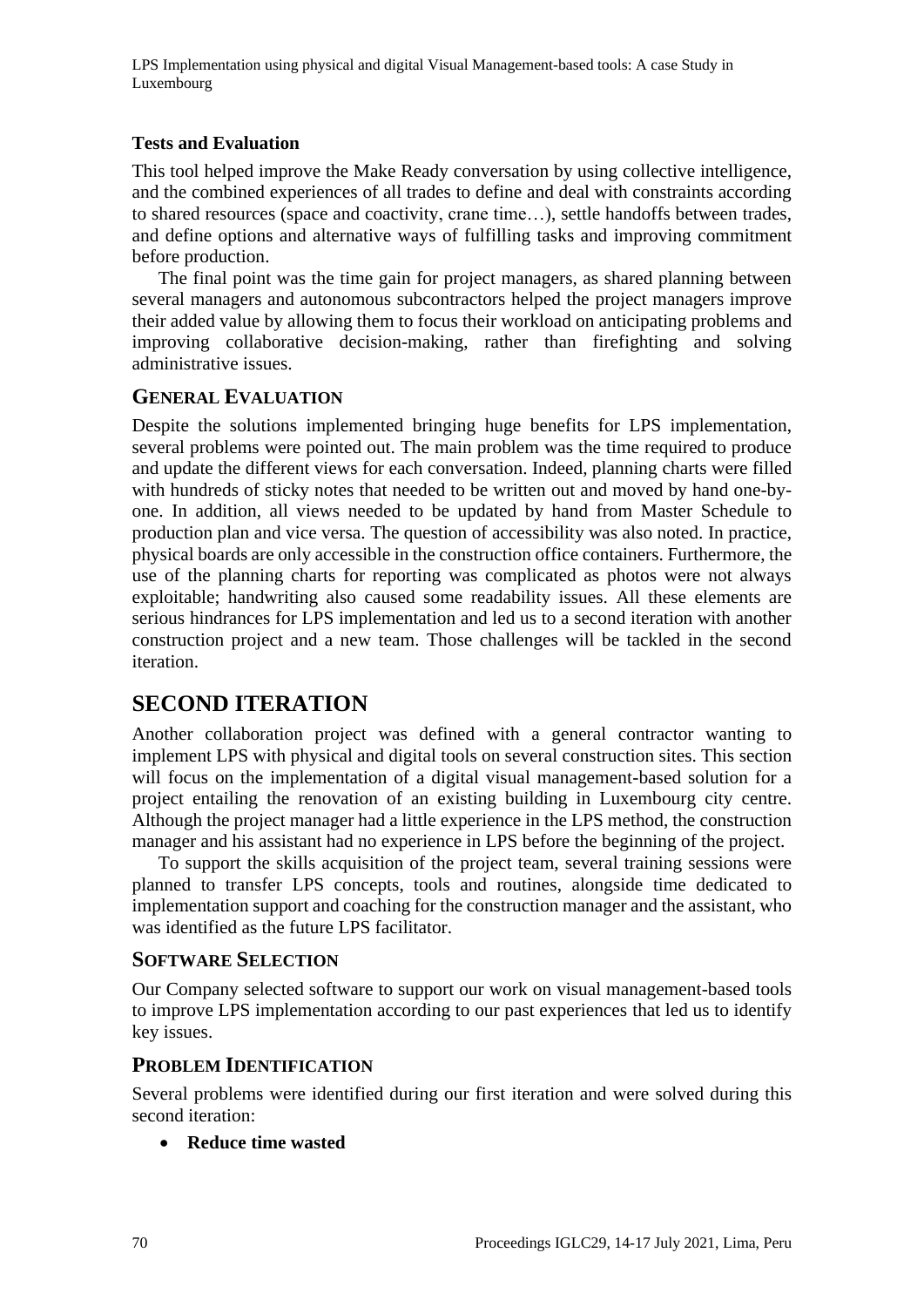LPS Implementation using physical and digital Visual Management-based tools: A case Study in Luxembourg

#### **Tests and Evaluation**

This tool helped improve the Make Ready conversation by using collective intelligence, and the combined experiences of all trades to define and deal with constraints according to shared resources (space and coactivity, crane time…), settle handoffs between trades, and define options and alternative ways of fulfilling tasks and improving commitment before production.

The final point was the time gain for project managers, as shared planning between several managers and autonomous subcontractors helped the project managers improve their added value by allowing them to focus their workload on anticipating problems and improving collaborative decision-making, rather than firefighting and solving administrative issues.

#### **GENERAL EVALUATION**

Despite the solutions implemented bringing huge benefits for LPS implementation, several problems were pointed out. The main problem was the time required to produce and update the different views for each conversation. Indeed, planning charts were filled with hundreds of sticky notes that needed to be written out and moved by hand one-byone. In addition, all views needed to be updated by hand from Master Schedule to production plan and vice versa. The question of accessibility was also noted. In practice, physical boards are only accessible in the construction office containers. Furthermore, the use of the planning charts for reporting was complicated as photos were not always exploitable; handwriting also caused some readability issues. All these elements are serious hindrances for LPS implementation and led us to a second iteration with another construction project and a new team. Those challenges will be tackled in the second iteration.

# **SECOND ITERATION**

Another collaboration project was defined with a general contractor wanting to implement LPS with physical and digital tools on several construction sites. This section will focus on the implementation of a digital visual management-based solution for a project entailing the renovation of an existing building in Luxembourg city centre. Although the project manager had a little experience in the LPS method, the construction manager and his assistant had no experience in LPS before the beginning of the project.

To support the skills acquisition of the project team, several training sessions were planned to transfer LPS concepts, tools and routines, alongside time dedicated to implementation support and coaching for the construction manager and the assistant, who was identified as the future LPS facilitator.

#### **SOFTWARE SELECTION**

Our Company selected software to support our work on visual management-based tools to improve LPS implementation according to our past experiences that led us to identify key issues.

#### **PROBLEM IDENTIFICATION**

Several problems were identified during our first iteration and were solved during this second iteration:

• **Reduce time wasted**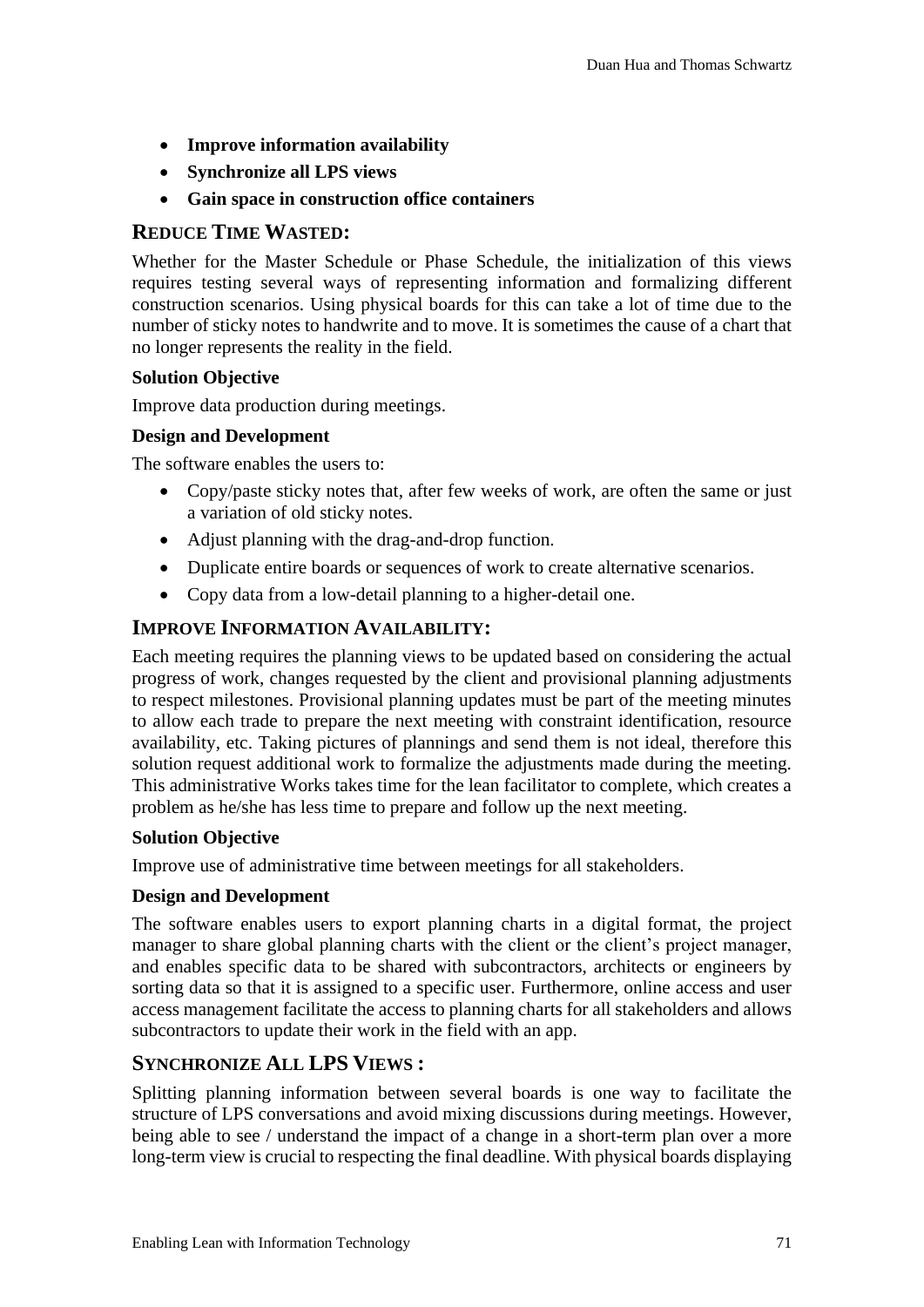- **Improve information availability**
- **Synchronize all LPS views**
- **Gain space in construction office containers**

#### **REDUCE TIME WASTED:**

Whether for the Master Schedule or Phase Schedule, the initialization of this views requires testing several ways of representing information and formalizing different construction scenarios. Using physical boards for this can take a lot of time due to the number of sticky notes to handwrite and to move. It is sometimes the cause of a chart that no longer represents the reality in the field.

#### **Solution Objective**

Improve data production during meetings.

#### **Design and Development**

The software enables the users to:

- Copy/paste sticky notes that, after few weeks of work, are often the same or just a variation of old sticky notes.
- Adjust planning with the drag-and-drop function.
- Duplicate entire boards or sequences of work to create alternative scenarios.
- Copy data from a low-detail planning to a higher-detail one.

#### **IMPROVE INFORMATION AVAILABILITY:**

Each meeting requires the planning views to be updated based on considering the actual progress of work, changes requested by the client and provisional planning adjustments to respect milestones. Provisional planning updates must be part of the meeting minutes to allow each trade to prepare the next meeting with constraint identification, resource availability, etc. Taking pictures of plannings and send them is not ideal, therefore this solution request additional work to formalize the adjustments made during the meeting. This administrative Works takes time for the lean facilitator to complete, which creates a problem as he/she has less time to prepare and follow up the next meeting.

#### **Solution Objective**

Improve use of administrative time between meetings for all stakeholders.

#### **Design and Development**

The software enables users to export planning charts in a digital format, the project manager to share global planning charts with the client or the client's project manager, and enables specific data to be shared with subcontractors, architects or engineers by sorting data so that it is assigned to a specific user. Furthermore, online access and user access management facilitate the access to planning charts for all stakeholders and allows subcontractors to update their work in the field with an app.

#### **SYNCHRONIZE ALL LPS VIEWS :**

Splitting planning information between several boards is one way to facilitate the structure of LPS conversations and avoid mixing discussions during meetings. However, being able to see / understand the impact of a change in a short-term plan over a more long-term view is crucial to respecting the final deadline. With physical boards displaying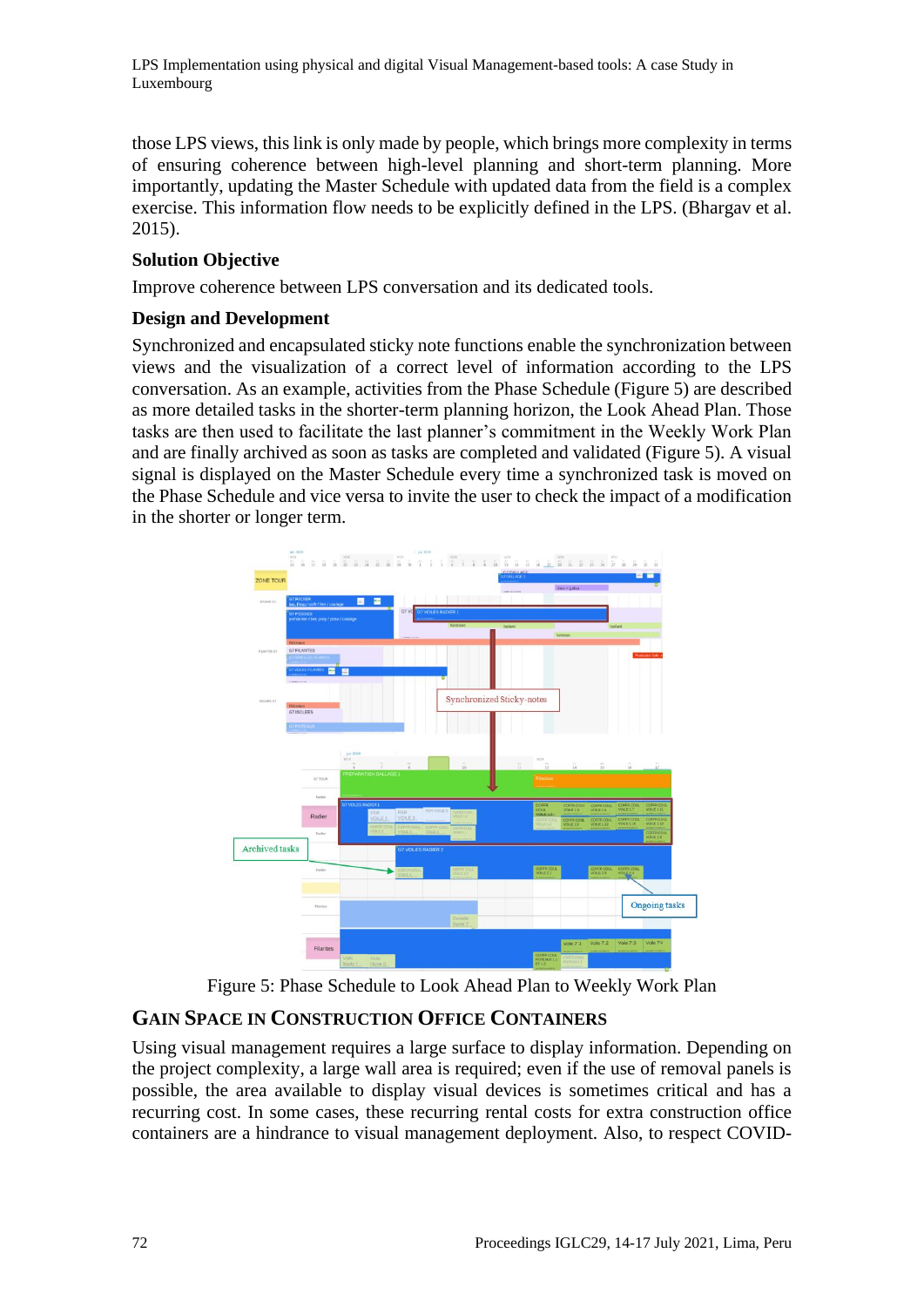LPS Implementation using physical and digital Visual Management-based tools: A case Study in Luxembourg

those LPS views, this link is only made by people, which brings more complexity in terms of ensuring coherence between high-level planning and short-term planning. More importantly, updating the Master Schedule with updated data from the field is a complex exercise. This information flow needs to be explicitly defined in the LPS. (Bhargav et al. 2015).

#### **Solution Objective**

Improve coherence between LPS conversation and its dedicated tools.

#### **Design and Development**

Synchronized and encapsulated sticky note functions enable the synchronization between views and the visualization of a correct level of information according to the LPS conversation. As an example, activities from the Phase Schedule (Figure 5) are described as more detailed tasks in the shorter-term planning horizon, the Look Ahead Plan. Those tasks are then used to facilitate the last planner's commitment in the Weekly Work Plan and are finally archived as soon as tasks are completed and validated (Figure 5). A visual signal is displayed on the Master Schedule every time a synchronized task is moved on the Phase Schedule and vice versa to invite the user to check the impact of a modification in the shorter or longer term.



Figure 5: Phase Schedule to Look Ahead Plan to Weekly Work Plan

# **GAIN SPACE IN CONSTRUCTION OFFICE CONTAINERS**

Using visual management requires a large surface to display information. Depending on the project complexity, a large wall area is required; even if the use of removal panels is possible, the area available to display visual devices is sometimes critical and has a recurring cost. In some cases, these recurring rental costs for extra construction office containers are a hindrance to visual management deployment. Also, to respect COVID-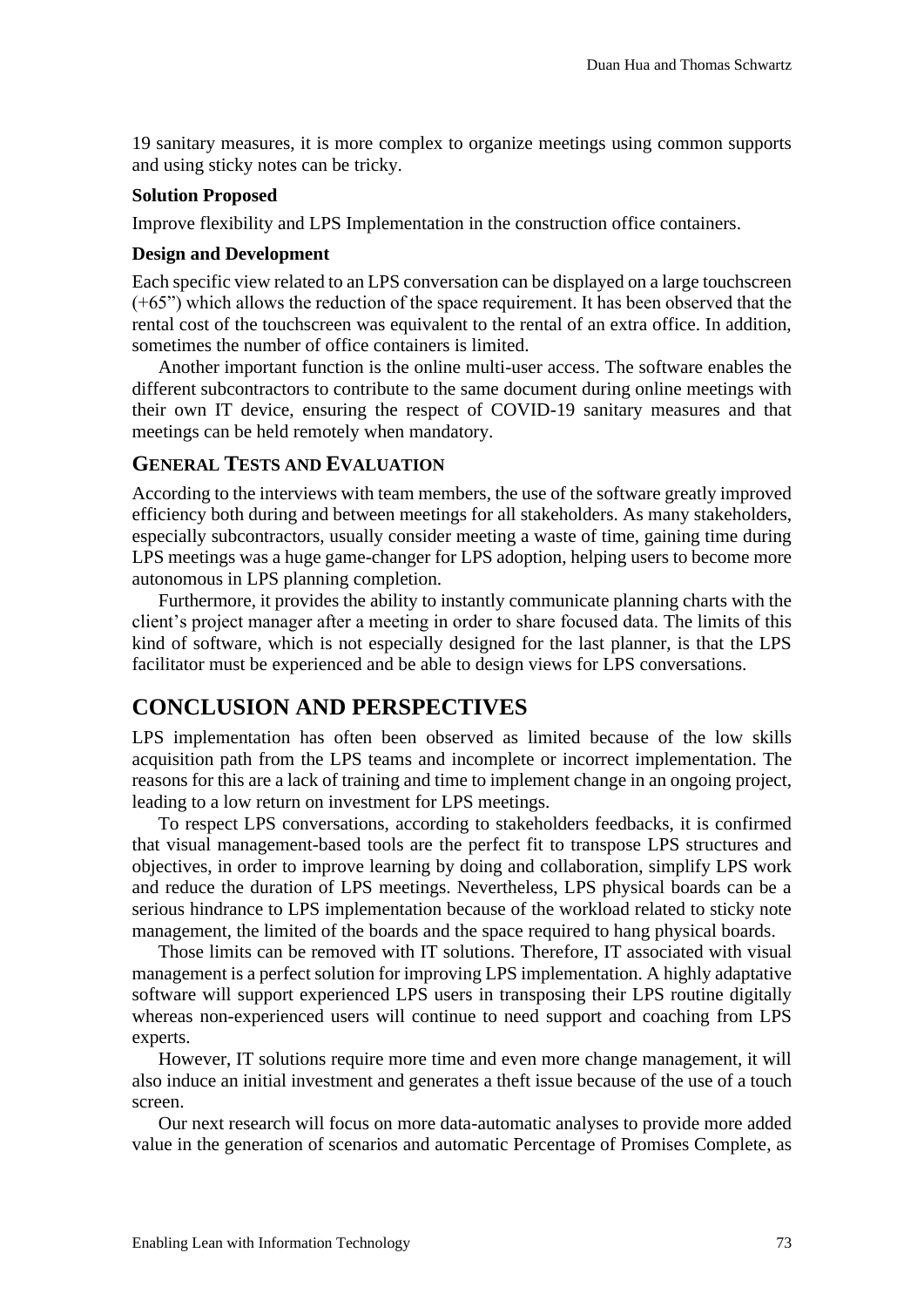19 sanitary measures, it is more complex to organize meetings using common supports and using sticky notes can be tricky.

#### **Solution Proposed**

Improve flexibility and LPS Implementation in the construction office containers.

#### **Design and Development**

Each specific view related to an LPS conversation can be displayed on a large touchscreen (+65") which allows the reduction of the space requirement. It has been observed that the rental cost of the touchscreen was equivalent to the rental of an extra office. In addition, sometimes the number of office containers is limited.

Another important function is the online multi-user access. The software enables the different subcontractors to contribute to the same document during online meetings with their own IT device, ensuring the respect of COVID-19 sanitary measures and that meetings can be held remotely when mandatory.

#### **GENERAL TESTS AND EVALUATION**

According to the interviews with team members, the use of the software greatly improved efficiency both during and between meetings for all stakeholders. As many stakeholders, especially subcontractors, usually consider meeting a waste of time, gaining time during LPS meetings was a huge game-changer for LPS adoption, helping users to become more autonomous in LPS planning completion.

Furthermore, it provides the ability to instantly communicate planning charts with the client's project manager after a meeting in order to share focused data. The limits of this kind of software, which is not especially designed for the last planner, is that the LPS facilitator must be experienced and be able to design views for LPS conversations.

# **CONCLUSION AND PERSPECTIVES**

LPS implementation has often been observed as limited because of the low skills acquisition path from the LPS teams and incomplete or incorrect implementation. The reasons for this are a lack of training and time to implement change in an ongoing project, leading to a low return on investment for LPS meetings.

To respect LPS conversations, according to stakeholders feedbacks, it is confirmed that visual management-based tools are the perfect fit to transpose LPS structures and objectives, in order to improve learning by doing and collaboration, simplify LPS work and reduce the duration of LPS meetings. Nevertheless, LPS physical boards can be a serious hindrance to LPS implementation because of the workload related to sticky note management, the limited of the boards and the space required to hang physical boards.

Those limits can be removed with IT solutions. Therefore, IT associated with visual management is a perfect solution for improving LPS implementation. A highly adaptative software will support experienced LPS users in transposing their LPS routine digitally whereas non-experienced users will continue to need support and coaching from LPS experts.

However, IT solutions require more time and even more change management, it will also induce an initial investment and generates a theft issue because of the use of a touch screen.

Our next research will focus on more data-automatic analyses to provide more added value in the generation of scenarios and automatic Percentage of Promises Complete, as